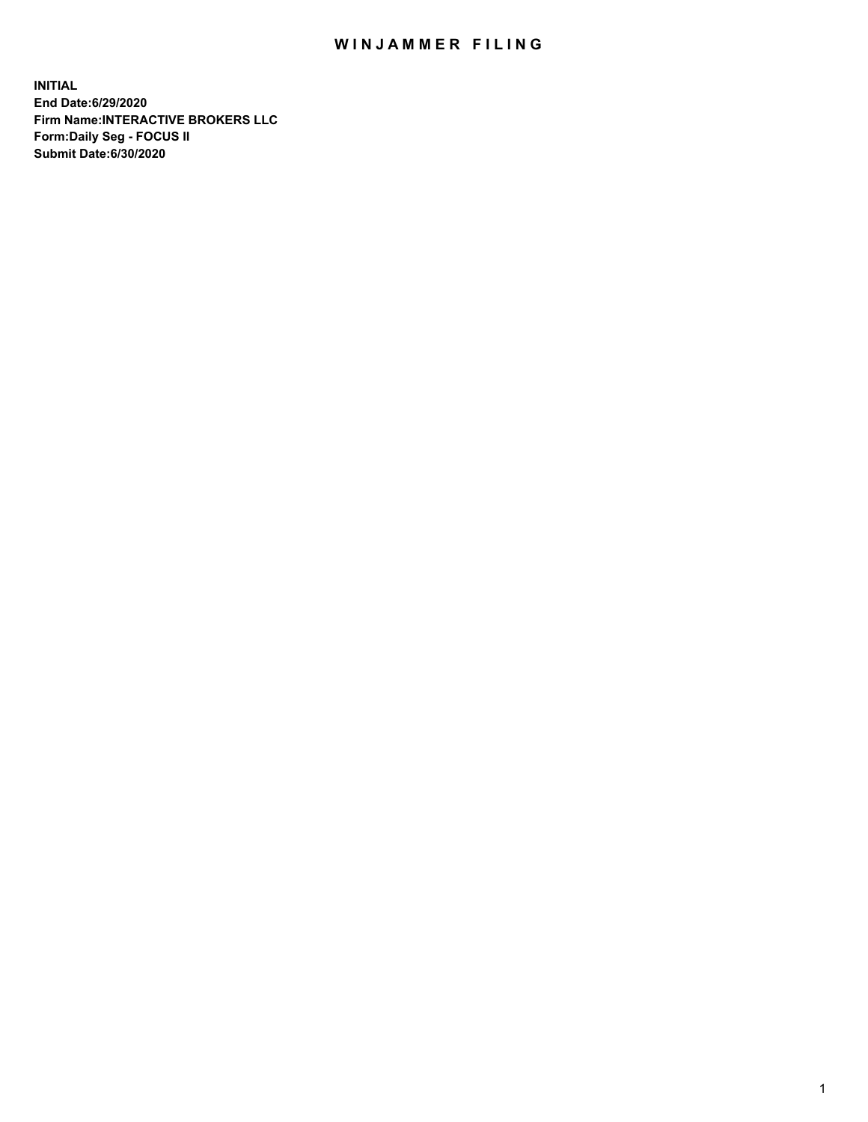## WIN JAMMER FILING

**INITIAL End Date:6/29/2020 Firm Name:INTERACTIVE BROKERS LLC Form:Daily Seg - FOCUS II Submit Date:6/30/2020**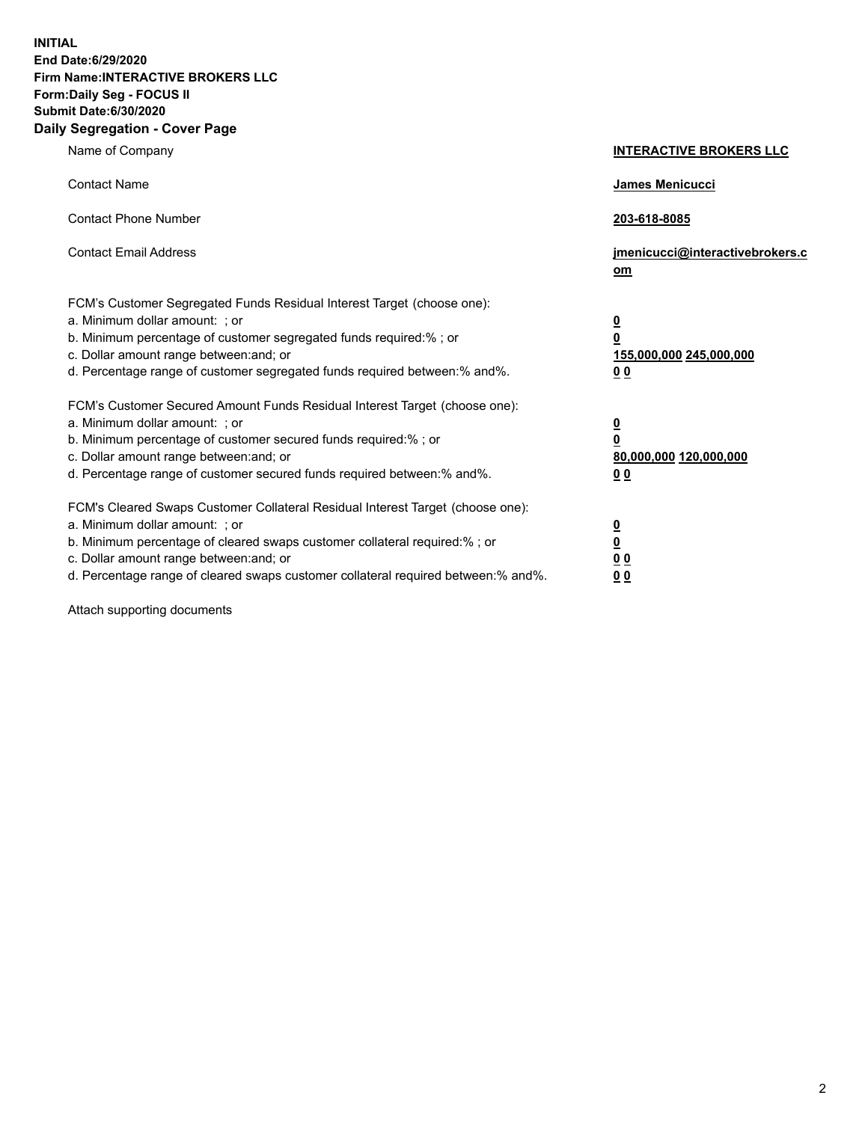**INITIAL End Date:6/29/2020 Firm Name:INTERACTIVE BROKERS LLC Form:Daily Seg - FOCUS II Submit Date:6/30/2020 Daily Segregation - Cover Page**

| Name of Company                                                                                                                                                                                                                                                                                                                | <b>INTERACTIVE BROKERS LLC</b>                                                                  |
|--------------------------------------------------------------------------------------------------------------------------------------------------------------------------------------------------------------------------------------------------------------------------------------------------------------------------------|-------------------------------------------------------------------------------------------------|
| <b>Contact Name</b>                                                                                                                                                                                                                                                                                                            | <b>James Menicucci</b>                                                                          |
| <b>Contact Phone Number</b>                                                                                                                                                                                                                                                                                                    | 203-618-8085                                                                                    |
| <b>Contact Email Address</b>                                                                                                                                                                                                                                                                                                   | jmenicucci@interactivebrokers.c<br>om                                                           |
| FCM's Customer Segregated Funds Residual Interest Target (choose one):<br>a. Minimum dollar amount: ; or<br>b. Minimum percentage of customer segregated funds required:%; or<br>c. Dollar amount range between: and; or<br>d. Percentage range of customer segregated funds required between:% and%.                          | $\overline{\mathbf{0}}$<br>$\overline{\mathbf{0}}$<br>155,000,000 245,000,000<br>0 <sub>0</sub> |
| FCM's Customer Secured Amount Funds Residual Interest Target (choose one):<br>a. Minimum dollar amount: ; or<br>b. Minimum percentage of customer secured funds required:%; or<br>c. Dollar amount range between: and; or<br>d. Percentage range of customer secured funds required between:% and%.                            | <u>0</u><br>$\overline{\mathbf{0}}$<br>80,000,000 120,000,000<br>0 <sub>0</sub>                 |
| FCM's Cleared Swaps Customer Collateral Residual Interest Target (choose one):<br>a. Minimum dollar amount: ; or<br>b. Minimum percentage of cleared swaps customer collateral required:% ; or<br>c. Dollar amount range between: and; or<br>d. Percentage range of cleared swaps customer collateral required between:% and%. | $\overline{\mathbf{0}}$<br>$\underline{\mathbf{0}}$<br>0 <sub>0</sub><br>00                     |

Attach supporting documents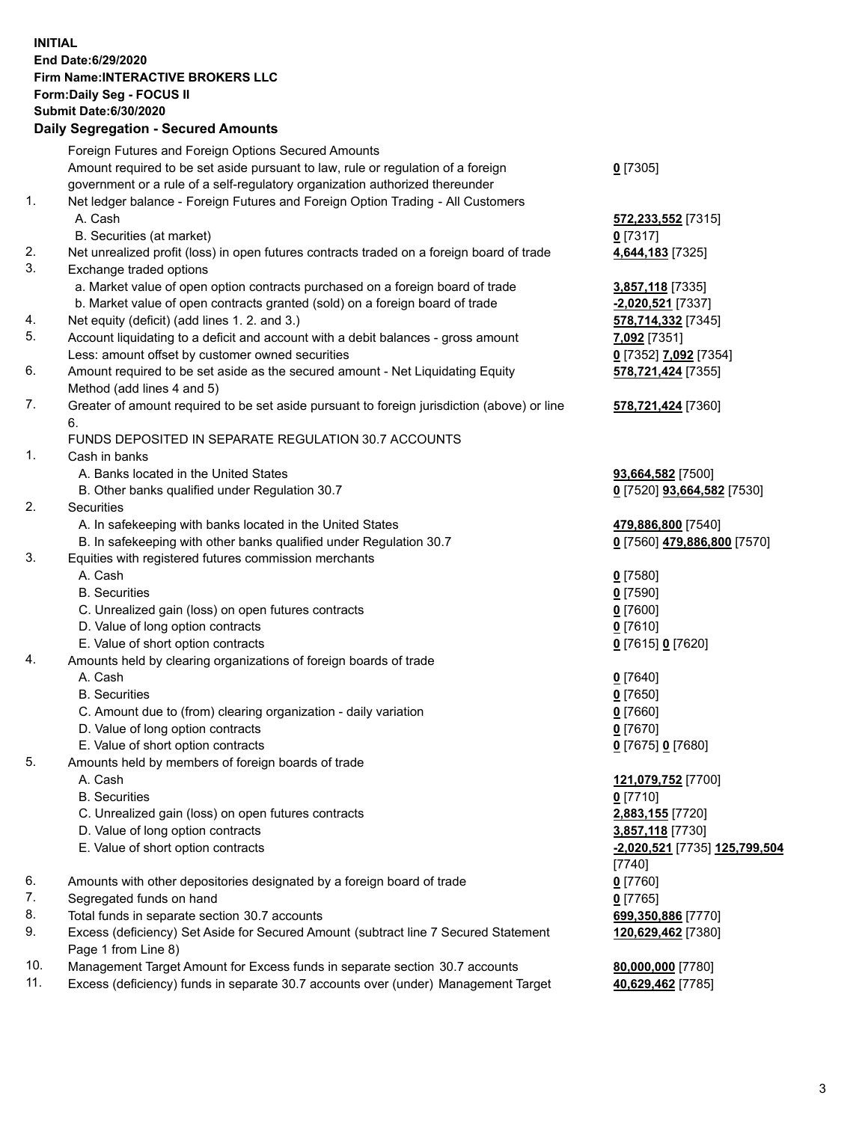**INITIAL End Date:6/29/2020 Firm Name:INTERACTIVE BROKERS LLC Form:Daily Seg - FOCUS II Submit Date:6/30/2020 Daily Segregation - Secured Amounts**

|     | Daily Segregation - Secureu Amounts                                                         |                               |
|-----|---------------------------------------------------------------------------------------------|-------------------------------|
|     | Foreign Futures and Foreign Options Secured Amounts                                         |                               |
|     | Amount required to be set aside pursuant to law, rule or regulation of a foreign            | $0$ [7305]                    |
|     | government or a rule of a self-regulatory organization authorized thereunder                |                               |
| 1.  | Net ledger balance - Foreign Futures and Foreign Option Trading - All Customers             |                               |
|     | A. Cash                                                                                     | 572,233,552 [7315]            |
|     | B. Securities (at market)                                                                   | $0$ [7317]                    |
| 2.  | Net unrealized profit (loss) in open futures contracts traded on a foreign board of trade   | 4,644,183 [7325]              |
| 3.  | Exchange traded options                                                                     |                               |
|     | a. Market value of open option contracts purchased on a foreign board of trade              | 3,857,118 [7335]              |
|     | b. Market value of open contracts granted (sold) on a foreign board of trade                | $-2,020,521$ [7337]           |
| 4.  | Net equity (deficit) (add lines 1. 2. and 3.)                                               | 578,714,332 [7345]            |
| 5.  | Account liquidating to a deficit and account with a debit balances - gross amount           | 7,092 [7351]                  |
|     | Less: amount offset by customer owned securities                                            | 0 [7352] 7,092 [7354]         |
| 6.  | Amount required to be set aside as the secured amount - Net Liquidating Equity              | 578,721,424 [7355]            |
|     | Method (add lines 4 and 5)                                                                  |                               |
| 7.  | Greater of amount required to be set aside pursuant to foreign jurisdiction (above) or line | 578,721,424 [7360]            |
|     | 6.                                                                                          |                               |
|     | FUNDS DEPOSITED IN SEPARATE REGULATION 30.7 ACCOUNTS                                        |                               |
| 1.  | Cash in banks                                                                               |                               |
|     | A. Banks located in the United States                                                       | 93,664,582 [7500]             |
|     | B. Other banks qualified under Regulation 30.7                                              | 0 [7520] 93,664,582 [7530]    |
| 2.  | Securities                                                                                  |                               |
|     | A. In safekeeping with banks located in the United States                                   | 479,886,800 [7540]            |
|     | B. In safekeeping with other banks qualified under Regulation 30.7                          | 0 [7560] 479,886,800 [7570]   |
| 3.  | Equities with registered futures commission merchants                                       |                               |
|     | A. Cash                                                                                     | $0$ [7580]                    |
|     | <b>B.</b> Securities                                                                        | $0$ [7590]                    |
|     | C. Unrealized gain (loss) on open futures contracts                                         | $0$ [7600]                    |
|     | D. Value of long option contracts                                                           | $0$ [7610]                    |
|     | E. Value of short option contracts                                                          | 0 [7615] 0 [7620]             |
| 4.  | Amounts held by clearing organizations of foreign boards of trade                           |                               |
|     | A. Cash                                                                                     | $Q$ [7640]                    |
|     | <b>B.</b> Securities                                                                        | $0$ [7650]                    |
|     | C. Amount due to (from) clearing organization - daily variation                             | $0$ [7660]                    |
|     | D. Value of long option contracts                                                           | $0$ [7670]                    |
|     | E. Value of short option contracts                                                          | 0 [7675] 0 [7680]             |
| 5.  | Amounts held by members of foreign boards of trade                                          |                               |
|     | A. Cash                                                                                     | 121,079,752 [7700]            |
|     | <b>B.</b> Securities                                                                        | $0$ [7710]                    |
|     | C. Unrealized gain (loss) on open futures contracts                                         | 2,883,155 [7720]              |
|     | D. Value of long option contracts                                                           | 3,857,118 [7730]              |
|     | E. Value of short option contracts                                                          | -2,020,521 [7735] 125,799,504 |
|     |                                                                                             | [7740]                        |
| 6.  | Amounts with other depositories designated by a foreign board of trade                      | $0$ [7760]                    |
| 7.  | Segregated funds on hand                                                                    | $0$ [7765]                    |
| 8.  | Total funds in separate section 30.7 accounts                                               | 699,350,886 [7770]            |
| 9.  | Excess (deficiency) Set Aside for Secured Amount (subtract line 7 Secured Statement         | 120,629,462 [7380]            |
|     | Page 1 from Line 8)                                                                         |                               |
| 10. | Management Target Amount for Excess funds in separate section 30.7 accounts                 | 80,000,000 [7780]             |
| 11. | Excess (deficiency) funds in separate 30.7 accounts over (under) Management Target          | 40,629,462 [7785]             |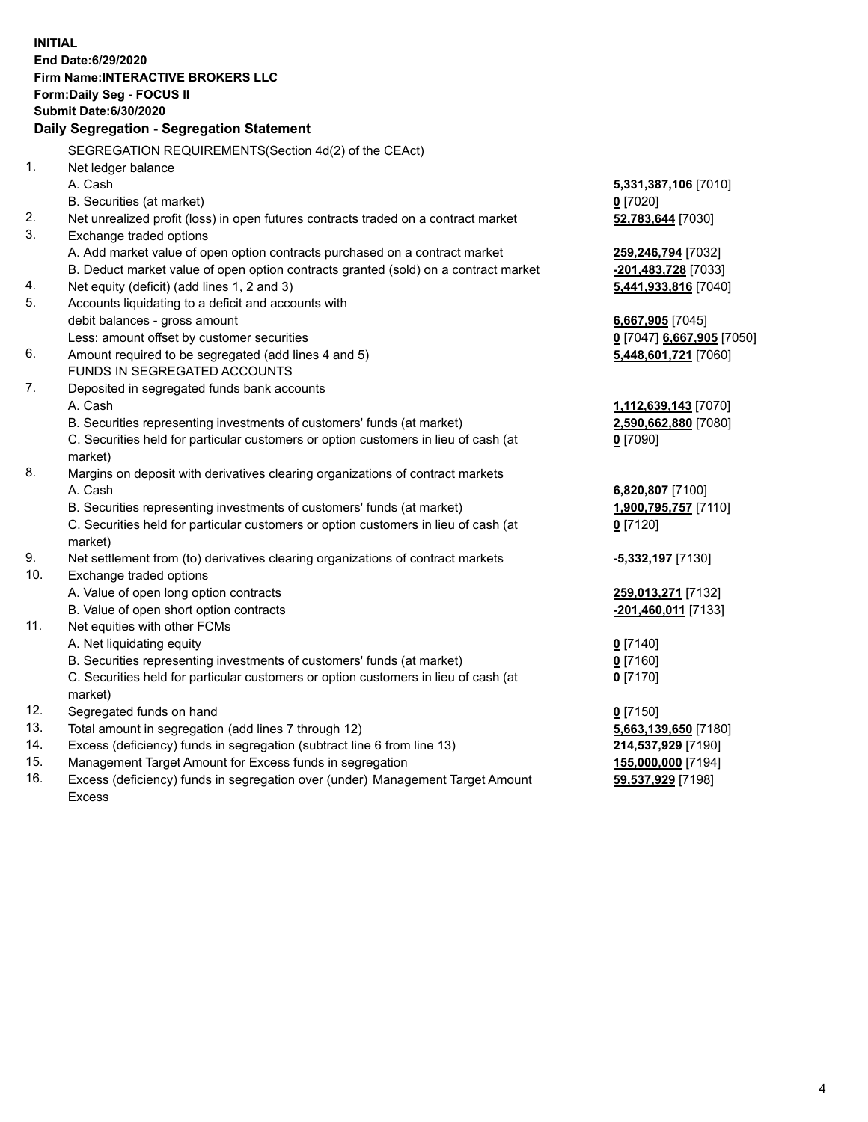**INITIAL End Date:6/29/2020 Firm Name:INTERACTIVE BROKERS LLC Form:Daily Seg - FOCUS II Submit Date:6/30/2020 Daily Segregation - Segregation Statement** SEGREGATION REQUIREMENTS(Section 4d(2) of the CEAct) 1. Net ledger balance A. Cash **5,331,387,106** [7010] B. Securities (at market) **0** [7020] 2. Net unrealized profit (loss) in open futures contracts traded on a contract market **52,783,644** [7030] 3. Exchange traded options A. Add market value of open option contracts purchased on a contract market **259,246,794** [7032] B. Deduct market value of open option contracts granted (sold) on a contract market **-201,483,728** [7033] 4. Net equity (deficit) (add lines 1, 2 and 3) **5,441,933,816** [7040] 5. Accounts liquidating to a deficit and accounts with debit balances - gross amount **6,667,905** [7045] Less: amount offset by customer securities **0** [7047] **6,667,905** [7050] 6. Amount required to be segregated (add lines 4 and 5) **5,448,601,721** [7060] FUNDS IN SEGREGATED ACCOUNTS 7. Deposited in segregated funds bank accounts A. Cash **1,112,639,143** [7070] B. Securities representing investments of customers' funds (at market) **2,590,662,880** [7080] C. Securities held for particular customers or option customers in lieu of cash (at market) **0** [7090] 8. Margins on deposit with derivatives clearing organizations of contract markets A. Cash **6,820,807** [7100] B. Securities representing investments of customers' funds (at market) **1,900,795,757** [7110] C. Securities held for particular customers or option customers in lieu of cash (at market) **0** [7120] 9. Net settlement from (to) derivatives clearing organizations of contract markets **-5,332,197** [7130] 10. Exchange traded options A. Value of open long option contracts **259,013,271** [7132] B. Value of open short option contracts **-201,460,011** [7133] 11. Net equities with other FCMs A. Net liquidating equity **0** [7140] B. Securities representing investments of customers' funds (at market) **0** [7160] C. Securities held for particular customers or option customers in lieu of cash (at market) **0** [7170] 12. Segregated funds on hand **0** [7150] 13. Total amount in segregation (add lines 7 through 12) **5,663,139,650** [7180] 14. Excess (deficiency) funds in segregation (subtract line 6 from line 13) **214,537,929** [7190] 15. Management Target Amount for Excess funds in segregation **155,000,000** [7194] 16. Excess (deficiency) funds in segregation over (under) Management Target Amount **59,537,929** [7198]

Excess